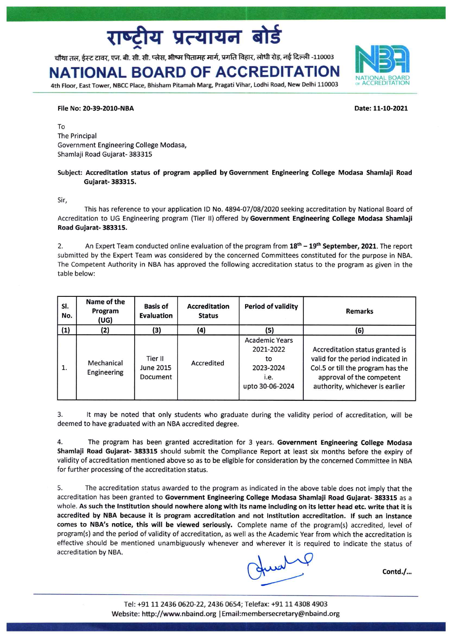# य प्रत्यायन बोर्ड

चौथा तल, ईस्ट टावर, एन. बी. सी. सी. प्लेस, भीष्म पितामह मार्ग, प्रगति विहार, लोधी रोड़, नई दिल्ली -110003

## NATIONAL BOARD OF ACCREDITAT

4th Floor, East Tower, NBCC Place, Bhisham Pitamah Marg, Pragati Vihar, Lodhi Road, New Delhi 110003

### File No: 20-39-2010-NBA

To The Principal Government Engineering College Modasa, Shamlaji Road Gujarat- 383315

### Subject: Accreditation status of program applied by Government Engineering College Modasa Shamlaji Road Gujarat- 383315.

Sir,

This has reference to your application ID No. 4894-07/08/2020 seeking accreditation by National Board of Accreditation to UG Engineering program (Tier II) offered by Government Engineering College Modasa Shamlaji Road Gujarat- 383315.

2. An Expert Team conducted online evaluation of the program from 18<sup>th</sup> - 19<sup>th</sup> September, 2021. The report submitted by the Expert Team was considered by the concerned Committees constituted for the purpose in NBA. The Competent Authority in NBA has approved the following accreditation status to the program as given in the table below:

| SI.<br>No. | Name of the<br>Program<br>(UG) | <b>Basis of</b><br>Evaluation    | <b>Accreditation</b><br><b>Status</b> | <b>Period of validity</b>                                                        | <b>Remarks</b>                                                                                                                                                            |
|------------|--------------------------------|----------------------------------|---------------------------------------|----------------------------------------------------------------------------------|---------------------------------------------------------------------------------------------------------------------------------------------------------------------------|
| (1)        | (2)                            | (3)                              | (4)                                   | (5)                                                                              | (6)                                                                                                                                                                       |
| 1.         | Mechanical<br>Engineering      | Tier II<br>June 2015<br>Document | Accredited                            | <b>Academic Years</b><br>2021-2022<br>to<br>2023-2024<br>i.e.<br>upto 30-06-2024 | Accreditation status granted is<br>valid for the period indicated in<br>Col.5 or till the program has the<br>approval of the competent<br>authority, whichever is earlier |

It may be noted that only students who graduate during the validity period of accreditation, will be 3. deemed to have graduated with an NBA accredited degree.

The program has been granted accreditation for 3 years. Government Engineering College Modasa 4. Shamlaji Road Gujarat- 383315 should submit the Compliance Report at least six months before the expiry of validity of accreditation mentioned above so as to be eligible for consideration by the concerned Committee in NBA for further processing of the accreditation status.

The accreditation status awarded to the program as indicated in the above table does not imply that the 5. accreditation has been granted to Government Engineering College Modasa Shamlaji Road Gujarat- 383315 as a whole. As such the Institution should nowhere along with its name including on its letter head etc. write that it is accredited by NBA because it is program accreditation and not Institution accreditation. If such an instance comes to NBA's notice, this will be viewed seriously. Complete name of the program(s) accredited, level of program(s) and the period of validity of accreditation, as well as the Academic Year from which the accreditation is effective should be mentioned unambiguously whenever and wherever it is required to indicate the status of accreditation by NBA.

Contd./...



Date: 11-10-2021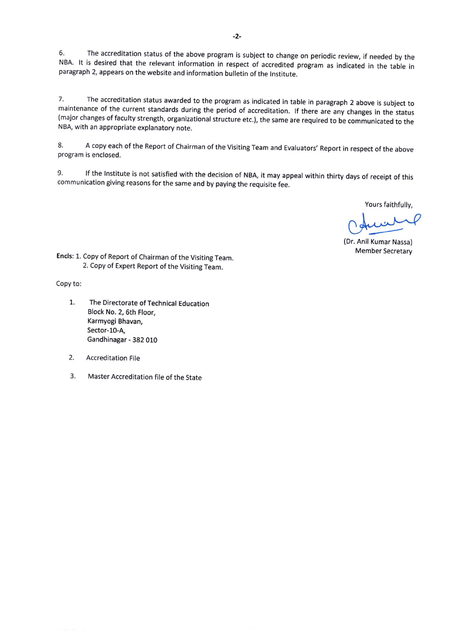The accreditation status of the above program is subject to change on periodic review, if needed by the 6. NBA. It is desired that the relevant information in respect of accredited program as indicated in the table in paragraph 2, appears on the website and information bulletin of the Institute.

The accreditation status awarded to the program as indicated in table in paragraph 2 above is subject to 7. maintenance of the current standards during the period of accreditation. If there are any changes in the status (major changes of faculty strength, organizational structure etc.), the same are required to be communicated to the NBA, with an appropriate explanatory note.

A copy each of the Report of Chairman of the Visiting Team and Evaluators' Report in respect of the above 8. program is enclosed.

If the Institute is not satisfied with the decision of NBA, it may appeal within thirty days of receipt of this 9. communication giving reasons for the same and by paying the requisite fee.

Yours faithfully,

(Dr. Anil Kumar Nassa) **Member Secretary** 

Encls: 1. Copy of Report of Chairman of the Visiting Team. 2. Copy of Expert Report of the Visiting Team.

Copy to:

- $1.$ The Directorate of Technical Education Block No. 2, 6th Floor, Karmyogi Bhavan, Sector-10-A, Gandhinagar - 382 010
- $2.$ **Accreditation File**
- 3. Master Accreditation file of the State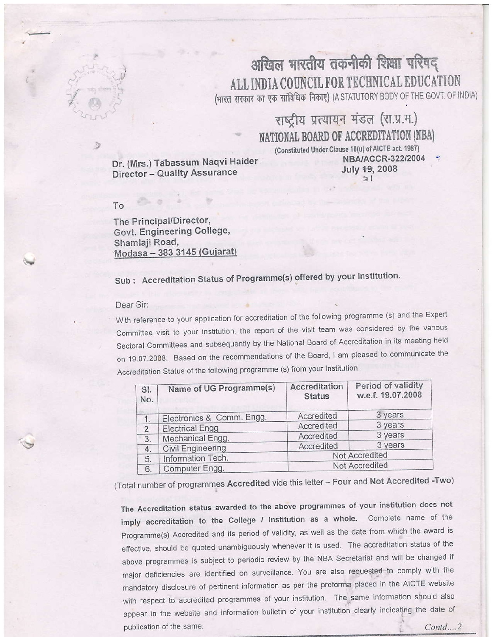

### अखिल भारतीय तकनीकी शिक्षा परिषद ALL INDIA COUNCIL FOR TECHNICAL EDUCATION (भारत सरकार का एक सांविधिक निकाए) (A STATUTORY BODY OF THE GOVT. OF INDIA)

### राष्ट्रीय प्रत्यायन मंडल (रा.प्र.म.) NATIONAL BOARD OF ACCREDITATION (NBA) (Constituted Under Clause 10(u) of AICTE act. 1987)

Dr. (Mrs.) Tabassum Naqvi Haider Director - Quality Assurance

NBA/ACCR-322/2004 July 19, 2008  $\overline{\mathbf{3}}$ 

#### To

The Principal/Director, Govt. Engineering College, Shamlaji Road, Modasa - 383 3145 (Gujarat)

Sub: Accreditation Status of Programme(s) offered by your Institution.

#### Dear Sir:

With reference to your application for accreditation of the following programme (s) and the Expert Committee visit to your institution, the report of the visit team was considered by the various Sectoral Committees and subsequently by the National Board of Accreditation in its meeting held on 19.07.2008. Based on the recommendations of the Board, I am pleased to communicate the Accreditation Status of the following programme (s) from your Institution.

| SI.<br>No. | Name of UG Programme(s)   | Accreditation<br><b>Status</b> | Period of validity<br>w.e.f. 19.07.2008 |  |
|------------|---------------------------|--------------------------------|-----------------------------------------|--|
| 1.         | Electronics & Comm. Engg. | Accredited                     | 3 years                                 |  |
| 2.         | <b>Electrical Engg</b>    | Accredited                     | 3 years                                 |  |
| 3.         | Mechanical Engg.          | Accredited                     | 3 years                                 |  |
| 4.         | Civil Engineering         | Accredited                     | 3 years                                 |  |
| 5.         | Information Tech.         | Not Accredited                 |                                         |  |
| 6.         | Computer Engg.            | Not Accredited                 |                                         |  |

(Total number of programmes Accredited vide this letter - Four and Not Accredited -Two)

The Accreditation status awarded to the above programmes of your institution does not imply accreditation to the College / Institution as a whole. Complete name of the Programme(s) Accredited and its period of validity, as well as the date from which the award is effective, should be quoted unambiguously whenever it is used. The accreditation status of the above programmes is subject to periodic review by the NBA Secretariat and will be changed if major deficiencies are identified on surveillance. You are also requested to comply with the mandatory disclosure of pertinent information as per the proforma placed in the AICTE website with respect to accredited programmes of your institution. The same information should also appear in the website and information bulletin of your institution clearly indicating the date of publication of the same.